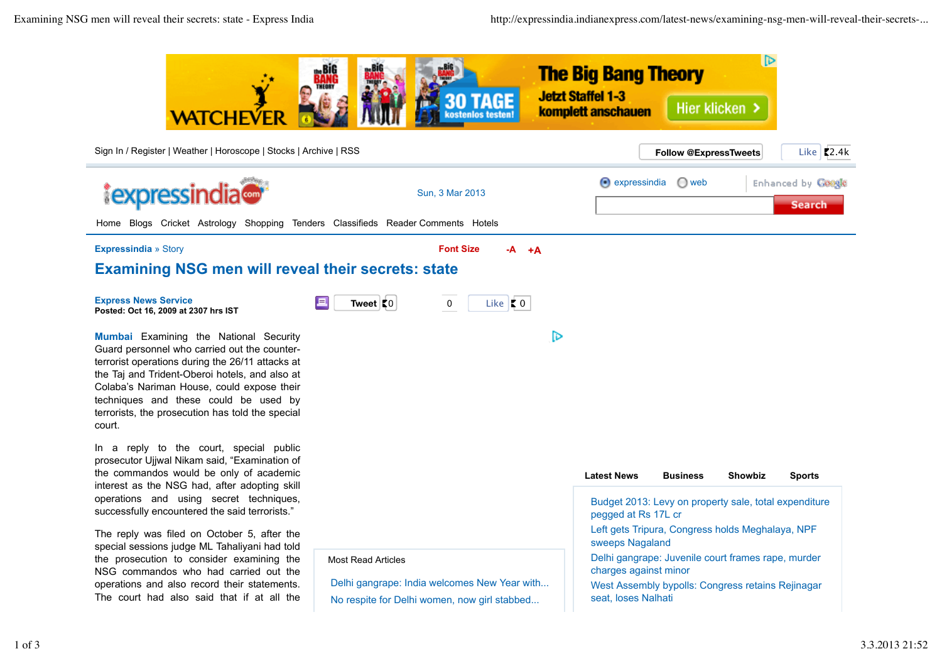